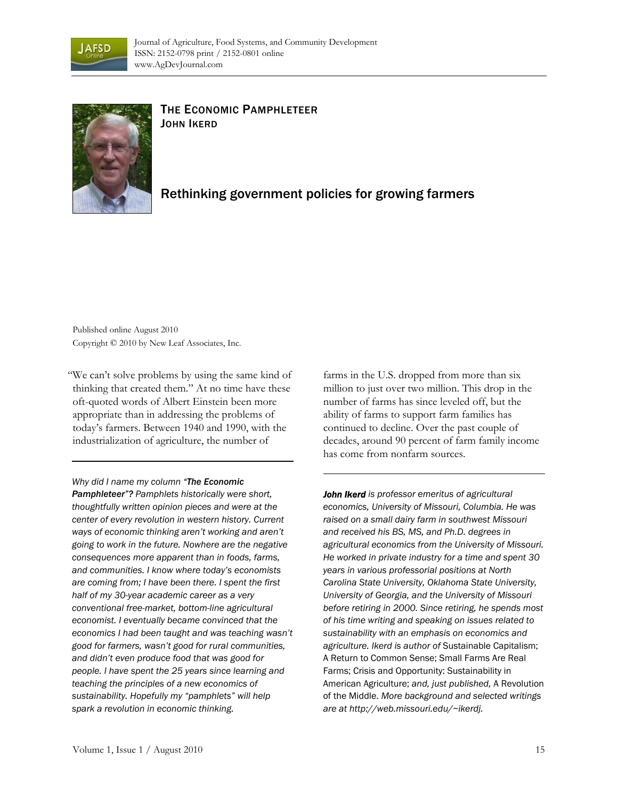



## THE ECONOMIC PAMPHLETEER JOHN IKERD

## Rethinking government policies for growing farmers

Published online August 2010 Copyright © 2010 by New Leaf Associates, Inc.

"We can't solve problems by using the same kind of thinking that created them." At no time have these oft-quoted words of Albert Einstein been more appropriate than in addressing the problems of today's farmers. Between 1940 and 1990, with the industrialization of agriculture, the number of

*Why did I name my column "The Economic* 

*Pamphleteer"? Pamphlets historically were short, thoughtfully written opinion pieces and were at the center of every revolution in western history. Current ways of economic thinking aren't working and aren't going to work in the future. Nowhere are the negative consequences more apparent than in foods, farms, and communities. I know where today's economists are coming from; I have been there. I spent the first half of my 30-year academic career as a very conventional free-market, bottom-line agricultural economist. I eventually became convinced that the economics I had been taught and was teaching wasn't good for farmers, wasn't good for rural communities, and didn't even produce food that was good for people. I have spent the 25 years since learning and teaching the principles of a new economics of sustainability. Hopefully my "pamphlets" will help spark a revolution in economic thinking.* 

farms in the U.S. dropped from more than six million to just over two million. This drop in the number of farms has since leveled off, but the ability of farms to support farm families has continued to decline. Over the past couple of decades, around 90 percent of farm family income has come from nonfarm sources.

*John Ikerd is professor emeritus of agricultural economics, University of Missouri, Columbia. He was raised on a small dairy farm in southwest Missouri and received his BS, MS, and Ph.D. degrees in agricultural economics from the University of Missouri. He worked in private industry for a time and spent 30 years in various professorial positions at North Carolina State University, Oklahoma State University, University of Georgia, and the University of Missouri before retiring in 2000. Since retiring, he spends most of his time writing and speaking on issues related to sustainability with an emphasis on economics and agriculture. Ikerd is author of* Sustainable Capitalism; A Return to Common Sense; Small Farms Are Real Farms; Crisis and Opportunity: Sustainability in American Agriculture; *and, just published,* A Revolution of the Middle. *More background and selected writings are at http://web.missouri.edu/~ikerdj.*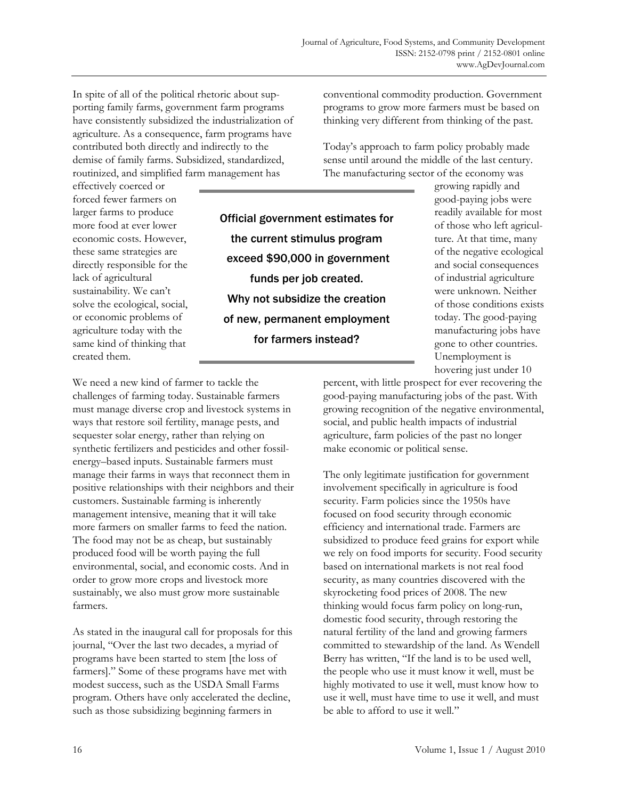In spite of all of the political rhetoric about supporting family farms, government farm programs have consistently subsidized the industrialization of agriculture. As a consequence, farm programs have contributed both directly and indirectly to the demise of family farms. Subsidized, standardized, routinized, and simplified farm management has

effectively coerced or forced fewer farmers on larger farms to produce more food at ever lower economic costs. However, these same strategies are directly responsible for the lack of agricultural sustainability. We can't solve the ecological, social, or economic problems of agriculture today with the same kind of thinking that created them.

Official government estimates for the current stimulus program exceed \$90,000 in government funds per job created. Why not subsidize the creation of new, permanent employment for farmers instead?

conventional commodity production. Government programs to grow more farmers must be based on thinking very different from thinking of the past.

Today's approach to farm policy probably made sense until around the middle of the last century. The manufacturing sector of the economy was

> growing rapidly and good-paying jobs were readily available for most of those who left agriculture. At that time, many of the negative ecological and social consequences of industrial agriculture were unknown. Neither of those conditions exists today. The good-paying manufacturing jobs have gone to other countries. Unemployment is hovering just under 10

We need a new kind of farmer to tackle the challenges of farming today. Sustainable farmers must manage diverse crop and livestock systems in ways that restore soil fertility, manage pests, and sequester solar energy, rather than relying on synthetic fertilizers and pesticides and other fossilenergy–based inputs. Sustainable farmers must manage their farms in ways that reconnect them in positive relationships with their neighbors and their customers. Sustainable farming is inherently management intensive, meaning that it will take more farmers on smaller farms to feed the nation. The food may not be as cheap, but sustainably produced food will be worth paying the full environmental, social, and economic costs. And in order to grow more crops and livestock more sustainably, we also must grow more sustainable farmers.

As stated in the inaugural call for proposals for this journal, "Over the last two decades, a myriad of programs have been started to stem [the loss of farmers]." Some of these programs have met with modest success, such as the USDA Small Farms program. Others have only accelerated the decline, such as those subsidizing beginning farmers in

percent, with little prospect for ever recovering the good-paying manufacturing jobs of the past. With growing recognition of the negative environmental, social, and public health impacts of industrial agriculture, farm policies of the past no longer make economic or political sense.

The only legitimate justification for government involvement specifically in agriculture is food security. Farm policies since the 1950s have focused on food security through economic efficiency and international trade. Farmers are subsidized to produce feed grains for export while we rely on food imports for security. Food security based on international markets is not real food security, as many countries discovered with the skyrocketing food prices of 2008. The new thinking would focus farm policy on long-run, domestic food security, through restoring the natural fertility of the land and growing farmers committed to stewardship of the land. As Wendell Berry has written, "If the land is to be used well, the people who use it must know it well, must be highly motivated to use it well, must know how to use it well, must have time to use it well, and must be able to afford to use it well."